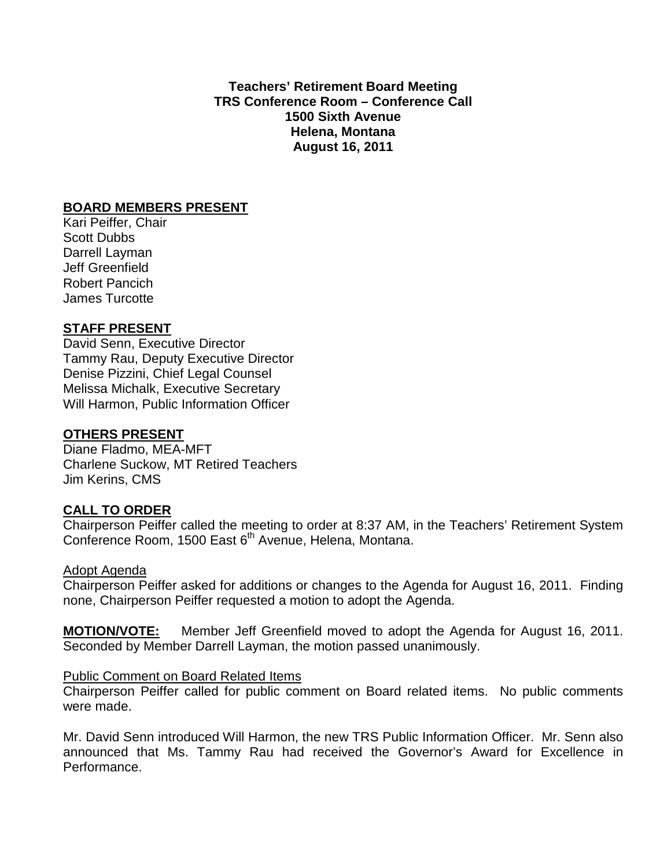**Teachers' Retirement Board Meeting TRS Conference Room – Conference Call 1500 Sixth Avenue Helena, Montana August 16, 2011**

#### **BOARD MEMBERS PRESENT**

Kari Peiffer, Chair Scott Dubbs Darrell Layman Jeff Greenfield Robert Pancich James Turcotte

### **STAFF PRESENT**

David Senn, Executive Director Tammy Rau, Deputy Executive Director Denise Pizzini, Chief Legal Counsel Melissa Michalk, Executive Secretary Will Harmon, Public Information Officer

#### **OTHERS PRESENT**

Diane Fladmo, MEA-MFT Charlene Suckow, MT Retired Teachers Jim Kerins, CMS

## **CALL TO ORDER**

Chairperson Peiffer called the meeting to order at 8:37 AM, in the Teachers' Retirement System Conference Room, 1500 East 6<sup>th</sup> Avenue, Helena, Montana.

#### Adopt Agenda

Chairperson Peiffer asked for additions or changes to the Agenda for August 16, 2011. Finding none, Chairperson Peiffer requested a motion to adopt the Agenda.

**MOTION/VOTE:** Member Jeff Greenfield moved to adopt the Agenda for August 16, 2011. Seconded by Member Darrell Layman, the motion passed unanimously.

#### Public Comment on Board Related Items

Chairperson Peiffer called for public comment on Board related items. No public comments were made.

Mr. David Senn introduced Will Harmon, the new TRS Public Information Officer. Mr. Senn also announced that Ms. Tammy Rau had received the Governor's Award for Excellence in Performance.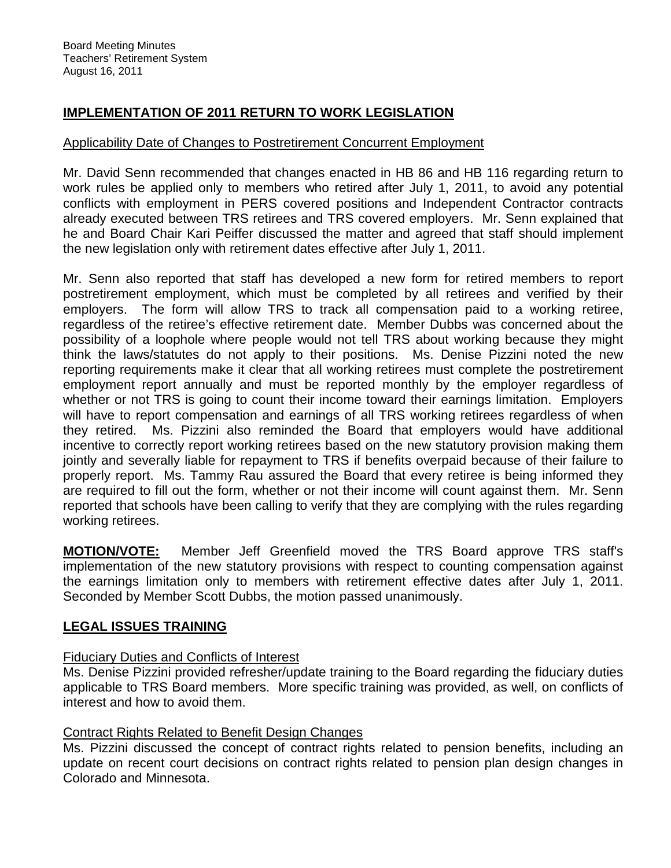# **IMPLEMENTATION OF 2011 RETURN TO WORK LEGISLATION**

### Applicability Date of Changes to Postretirement Concurrent Employment

Mr. David Senn recommended that changes enacted in HB 86 and HB 116 regarding return to work rules be applied only to members who retired after July 1, 2011, to avoid any potential conflicts with employment in PERS covered positions and Independent Contractor contracts already executed between TRS retirees and TRS covered employers. Mr. Senn explained that he and Board Chair Kari Peiffer discussed the matter and agreed that staff should implement the new legislation only with retirement dates effective after July 1, 2011.

Mr. Senn also reported that staff has developed a new form for retired members to report postretirement employment, which must be completed by all retirees and verified by their employers. The form will allow TRS to track all compensation paid to a working retiree, regardless of the retiree's effective retirement date. Member Dubbs was concerned about the possibility of a loophole where people would not tell TRS about working because they might think the laws/statutes do not apply to their positions. Ms. Denise Pizzini noted the new reporting requirements make it clear that all working retirees must complete the postretirement employment report annually and must be reported monthly by the employer regardless of whether or not TRS is going to count their income toward their earnings limitation. Employers will have to report compensation and earnings of all TRS working retirees regardless of when they retired. Ms. Pizzini also reminded the Board that employers would have additional incentive to correctly report working retirees based on the new statutory provision making them jointly and severally liable for repayment to TRS if benefits overpaid because of their failure to properly report. Ms. Tammy Rau assured the Board that every retiree is being informed they are required to fill out the form, whether or not their income will count against them. Mr. Senn reported that schools have been calling to verify that they are complying with the rules regarding working retirees.

**MOTION/VOTE:** Member Jeff Greenfield moved the TRS Board approve TRS staff's implementation of the new statutory provisions with respect to counting compensation against the earnings limitation only to members with retirement effective dates after July 1, 2011. Seconded by Member Scott Dubbs, the motion passed unanimously.

## **LEGAL ISSUES TRAINING**

#### Fiduciary Duties and Conflicts of Interest

Ms. Denise Pizzini provided refresher/update training to the Board regarding the fiduciary duties applicable to TRS Board members. More specific training was provided, as well, on conflicts of interest and how to avoid them.

#### Contract Rights Related to Benefit Design Changes

Ms. Pizzini discussed the concept of contract rights related to pension benefits, including an update on recent court decisions on contract rights related to pension plan design changes in Colorado and Minnesota.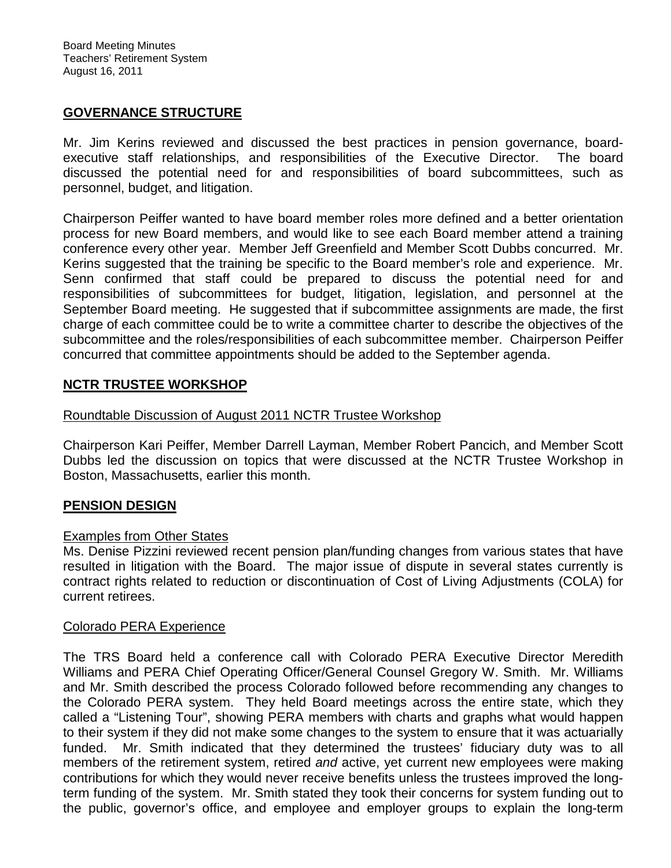#### **GOVERNANCE STRUCTURE**

Mr. Jim Kerins reviewed and discussed the best practices in pension governance, boardexecutive staff relationships, and responsibilities of the Executive Director. The board discussed the potential need for and responsibilities of board subcommittees, such as personnel, budget, and litigation.

Chairperson Peiffer wanted to have board member roles more defined and a better orientation process for new Board members, and would like to see each Board member attend a training conference every other year. Member Jeff Greenfield and Member Scott Dubbs concurred. Mr. Kerins suggested that the training be specific to the Board member's role and experience. Mr. Senn confirmed that staff could be prepared to discuss the potential need for and responsibilities of subcommittees for budget, litigation, legislation, and personnel at the September Board meeting. He suggested that if subcommittee assignments are made, the first charge of each committee could be to write a committee charter to describe the objectives of the subcommittee and the roles/responsibilities of each subcommittee member. Chairperson Peiffer concurred that committee appointments should be added to the September agenda.

### **NCTR TRUSTEE WORKSHOP**

#### Roundtable Discussion of August 2011 NCTR Trustee Workshop

Chairperson Kari Peiffer, Member Darrell Layman, Member Robert Pancich, and Member Scott Dubbs led the discussion on topics that were discussed at the NCTR Trustee Workshop in Boston, Massachusetts, earlier this month.

#### **PENSION DESIGN**

#### Examples from Other States

Ms. Denise Pizzini reviewed recent pension plan/funding changes from various states that have resulted in litigation with the Board. The major issue of dispute in several states currently is contract rights related to reduction or discontinuation of Cost of Living Adjustments (COLA) for current retirees.

#### Colorado PERA Experience

The TRS Board held a conference call with Colorado PERA Executive Director Meredith Williams and PERA Chief Operating Officer/General Counsel Gregory W. Smith. Mr. Williams and Mr. Smith described the process Colorado followed before recommending any changes to the Colorado PERA system. They held Board meetings across the entire state, which they called a "Listening Tour", showing PERA members with charts and graphs what would happen to their system if they did not make some changes to the system to ensure that it was actuarially funded. Mr. Smith indicated that they determined the trustees' fiduciary duty was to all members of the retirement system, retired *and* active, yet current new employees were making contributions for which they would never receive benefits unless the trustees improved the longterm funding of the system. Mr. Smith stated they took their concerns for system funding out to the public, governor's office, and employee and employer groups to explain the long-term